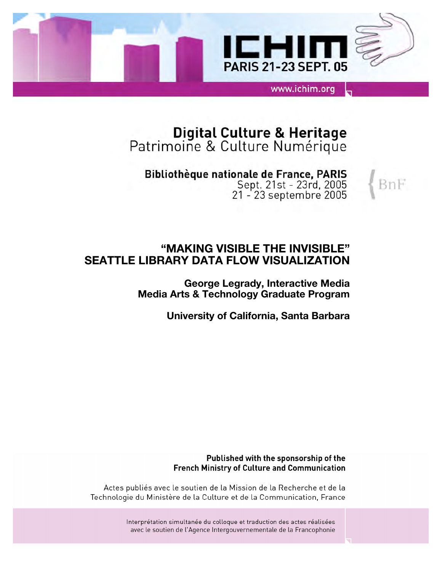

# Digital Culture & Heritage<br>Patrimoine & Culture Numérique

Bibliothèque nationale de France, PARIS Sept. 21st - 23rd, 2005<br>21 - 23 septembre 2005

BnF

## **"MAKING VISIBLE THE INVISIBLE" SEATTLE LIBRARY DATA FLOW VISUALIZATION**

**George Legrady, Interactive Media Media Arts & Technology Graduate Program**

**University of California, Santa Barbara**

#### Published with the sponsorship of the **French Ministry of Culture and Communication**

Actes publiés avec le soutien de la Mission de la Recherche et de la Technologie du Ministère de la Culture et de la Communication, France

> Interprétation simultanée du colloque et traduction des actes réalisées avec le soutien de l'Agence Intergouvernementale de la Francophonie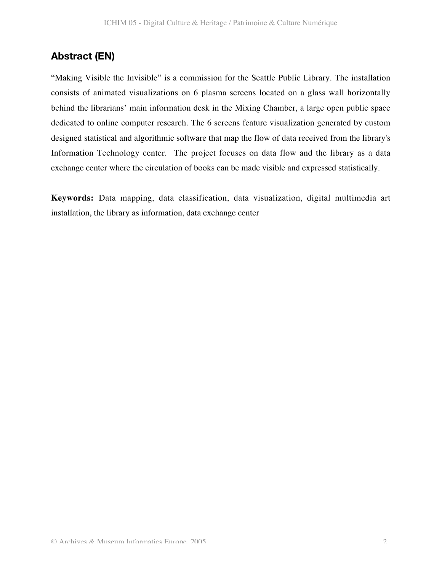## **Abstract (EN)**

"Making Visible the Invisible" is a commission for the Seattle Public Library. The installation consists of animated visualizations on 6 plasma screens located on a glass wall horizontally behind the librarians' main information desk in the Mixing Chamber, a large open public space dedicated to online computer research. The 6 screens feature visualization generated by custom designed statistical and algorithmic software that map the flow of data received from the library's Information Technology center. The project focuses on data flow and the library as a data exchange center where the circulation of books can be made visible and expressed statistically.

**Keywords:** Data mapping, data classification, data visualization, digital multimedia art installation, the library as information, data exchange center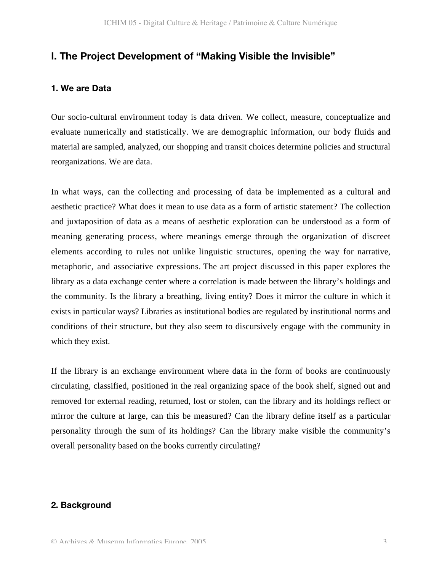## **I. The Project Development of "Making Visible the Invisible"**

#### **1. We are Data**

Our socio-cultural environment today is data driven. We collect, measure, conceptualize and evaluate numerically and statistically. We are demographic information, our body fluids and material are sampled, analyzed, our shopping and transit choices determine policies and structural reorganizations. We are data.

In what ways, can the collecting and processing of data be implemented as a cultural and aesthetic practice? What does it mean to use data as a form of artistic statement? The collection and juxtaposition of data as a means of aesthetic exploration can be understood as a form of meaning generating process, where meanings emerge through the organization of discreet elements according to rules not unlike linguistic structures, opening the way for narrative, metaphoric, and associative expressions. The art project discussed in this paper explores the library as a data exchange center where a correlation is made between the library's holdings and the community. Is the library a breathing, living entity? Does it mirror the culture in which it exists in particular ways? Libraries as institutional bodies are regulated by institutional norms and conditions of their structure, but they also seem to discursively engage with the community in which they exist.

If the library is an exchange environment where data in the form of books are continuously circulating, classified, positioned in the real organizing space of the book shelf, signed out and removed for external reading, returned, lost or stolen, can the library and its holdings reflect or mirror the culture at large, can this be measured? Can the library define itself as a particular personality through the sum of its holdings? Can the library make visible the community's overall personality based on the books currently circulating?

#### **2. Background**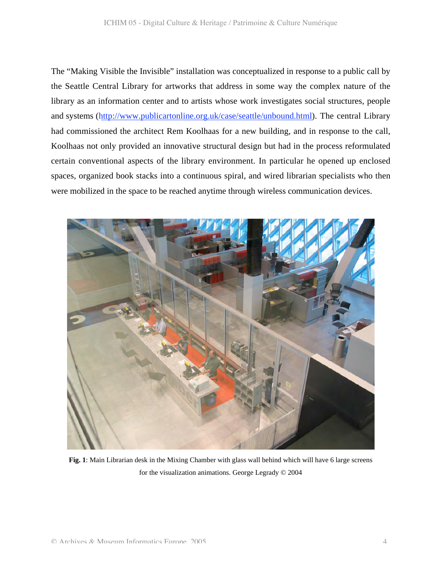The "Making Visible the Invisible" installation was conceptualized in response to a public call by the Seattle Central Library for artworks that address in some way the complex nature of the library as an information center and to artists whose work investigates social structures, people and systems (http://www.publicartonline.org.uk/case/seattle/unbound.html). The central Library had commissioned the architect Rem Koolhaas for a new building, and in response to the call, Koolhaas not only provided an innovative structural design but had in the process reformulated certain conventional aspects of the library environment. In particular he opened up enclosed spaces, organized book stacks into a continuous spiral, and wired librarian specialists who then were mobilized in the space to be reached anytime through wireless communication devices.



**Fig. 1**: Main Librarian desk in the Mixing Chamber with glass wall behind which will have 6 large screens for the visualization animations. George Legrady © 2004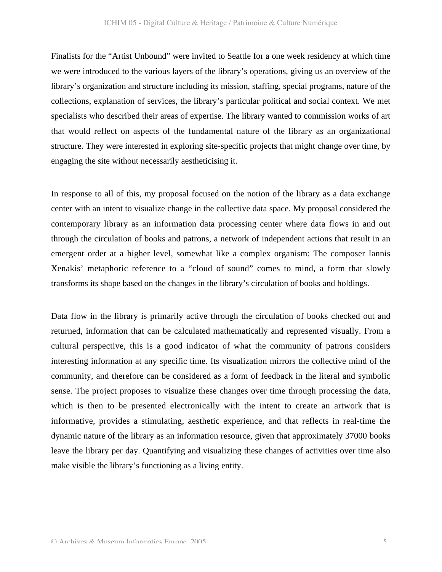Finalists for the "Artist Unbound" were invited to Seattle for a one week residency at which time we were introduced to the various layers of the library's operations, giving us an overview of the library's organization and structure including its mission, staffing, special programs, nature of the collections, explanation of services, the library's particular political and social context. We met specialists who described their areas of expertise. The library wanted to commission works of art that would reflect on aspects of the fundamental nature of the library as an organizational structure. They were interested in exploring site-specific projects that might change over time, by engaging the site without necessarily aestheticising it.

In response to all of this, my proposal focused on the notion of the library as a data exchange center with an intent to visualize change in the collective data space. My proposal considered the contemporary library as an information data processing center where data flows in and out through the circulation of books and patrons, a network of independent actions that result in an emergent order at a higher level, somewhat like a complex organism: The composer Iannis Xenakis' metaphoric reference to a "cloud of sound" comes to mind, a form that slowly transforms its shape based on the changes in the library's circulation of books and holdings.

Data flow in the library is primarily active through the circulation of books checked out and returned, information that can be calculated mathematically and represented visually. From a cultural perspective, this is a good indicator of what the community of patrons considers interesting information at any specific time. Its visualization mirrors the collective mind of the community, and therefore can be considered as a form of feedback in the literal and symbolic sense. The project proposes to visualize these changes over time through processing the data, which is then to be presented electronically with the intent to create an artwork that is informative, provides a stimulating, aesthetic experience, and that reflects in real-time the dynamic nature of the library as an information resource, given that approximately 37000 books leave the library per day. Quantifying and visualizing these changes of activities over time also make visible the library's functioning as a living entity.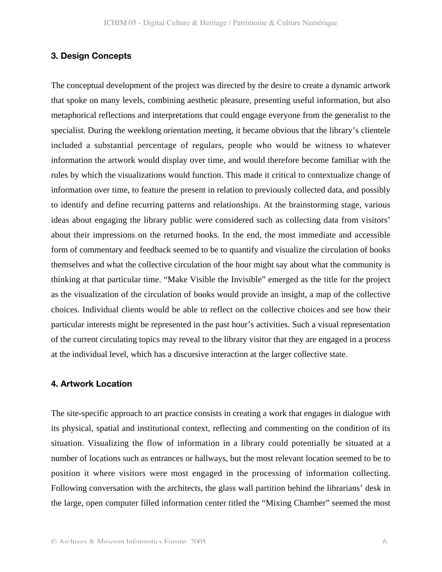#### **3. Design Concepts**

The conceptual development of the project was directed by the desire to create a dynamic artwork that spoke on many levels, combining aesthetic pleasure, presenting useful information, but also metaphorical reflections and interpretations that could engage everyone from the generalist to the specialist. During the weeklong orientation meeting, it became obvious that the library's clientele included a substantial percentage of regulars, people who would be witness to whatever information the artwork would display over time, and would therefore become familiar with the rules by which the visualizations would function. This made it critical to contextualize change of information over time, to feature the present in relation to previously collected data, and possibly to identify and define recurring patterns and relationships. At the brainstorming stage, various ideas about engaging the library public were considered such as collecting data from visitors' about their impressions on the returned books. In the end, the most immediate and accessible form of commentary and feedback seemed to be to quantify and visualize the circulation of books themselves and what the collective circulation of the hour might say about what the community is thinking at that particular time. "Make Visible the Invisible" emerged as the title for the project as the visualization of the circulation of books would provide an insight, a map of the collective choices. Individual clients would be able to reflect on the collective choices and see how their particular interests might be represented in the past hour's activities. Such a visual representation of the current circulating topics may reveal to the library visitor that they are engaged in a process at the individual level, which has a discursive interaction at the larger collective state.

#### **4. Artwork Location**

The site-specific approach to art practice consists in creating a work that engages in dialogue with its physical, spatial and institutional context, reflecting and commenting on the condition of its situation. Visualizing the flow of information in a library could potentially be situated at a number of locations such as entrances or hallways, but the most relevant location seemed to be to position it where visitors were most engaged in the processing of information collecting. Following conversation with the architects, the glass wall partition behind the librarians' desk in the large, open computer filled information center titled the "Mixing Chamber" seemed the most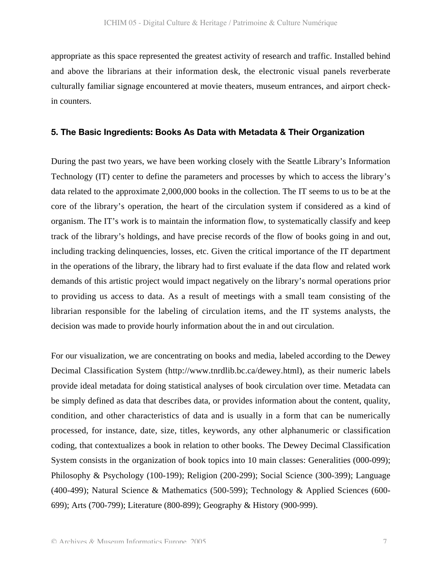appropriate as this space represented the greatest activity of research and traffic. Installed behind and above the librarians at their information desk, the electronic visual panels reverberate culturally familiar signage encountered at movie theaters, museum entrances, and airport checkin counters.

#### **5. The Basic Ingredients: Books As Data with Metadata & Their Organization**

During the past two years, we have been working closely with the Seattle Library's Information Technology (IT) center to define the parameters and processes by which to access the library's data related to the approximate 2,000,000 books in the collection. The IT seems to us to be at the core of the library's operation, the heart of the circulation system if considered as a kind of organism. The IT's work is to maintain the information flow, to systematically classify and keep track of the library's holdings, and have precise records of the flow of books going in and out, including tracking delinquencies, losses, etc. Given the critical importance of the IT department in the operations of the library, the library had to first evaluate if the data flow and related work demands of this artistic project would impact negatively on the library's normal operations prior to providing us access to data. As a result of meetings with a small team consisting of the librarian responsible for the labeling of circulation items, and the IT systems analysts, the decision was made to provide hourly information about the in and out circulation.

For our visualization, we are concentrating on books and media, labeled according to the Dewey Decimal Classification System (http://www.tnrdlib.bc.ca/dewey.html), as their numeric labels provide ideal metadata for doing statistical analyses of book circulation over time. Metadata can be simply defined as data that describes data, or provides information about the content, quality, condition, and other characteristics of data and is usually in a form that can be numerically processed, for instance, date, size, titles, keywords, any other alphanumeric or classification coding, that contextualizes a book in relation to other books. The Dewey Decimal Classification System consists in the organization of book topics into 10 main classes: Generalities (000-099); Philosophy & Psychology (100-199); Religion (200-299); Social Science (300-399); Language (400-499); Natural Science & Mathematics (500-599); Technology & Applied Sciences (600- 699); Arts (700-799); Literature (800-899); Geography & History (900-999).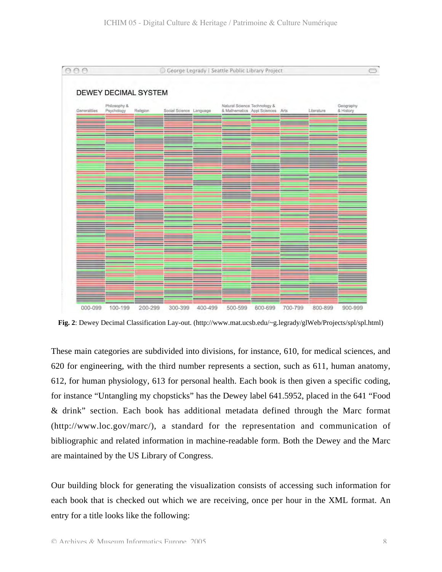

**Fig. 2**: Dewey Decimal Classification Lay-out. (http://www.mat.ucsb.edu/~g.legrady/glWeb/Projects/spl/spl.html)

These main categories are subdivided into divisions, for instance, 610, for medical sciences, and 620 for engineering, with the third number represents a section, such as 611, human anatomy, 612, for human physiology, 613 for personal health. Each book is then given a specific coding, for instance "Untangling my chopsticks" has the Dewey label 641.5952, placed in the 641 "Food & drink" section. Each book has additional metadata defined through the Marc format (http://www.loc.gov/marc/), a standard for the representation and communication of bibliographic and related information in machine-readable form. Both the Dewey and the Marc are maintained by the US Library of Congress.

Our building block for generating the visualization consists of accessing such information for each book that is checked out which we are receiving, once per hour in the XML format. An entry for a title looks like the following: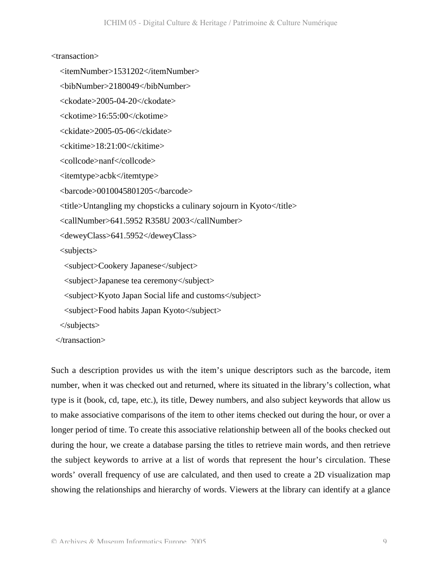#### <transaction>

```
 <itemNumber>1531202</itemNumber>
```

```
 <bibNumber>2180049</bibNumber>
```
<ckodate>2005-04-20</ckodate>

<ckotime>16:55:00</ckotime>

<ckidate>2005-05-06</ckidate>

<ckitime>18:21:00</ckitime>

<collcode>nanf</collcode>

<itemtype>acbk</itemtype>

<barcode>0010045801205</barcode>

 $\lt$ title>Untangling my chopsticks a culinary sojourn in Kyoto $\lt$ /title>

<callNumber>641.5952 R358U 2003</callNumber>

<deweyClass>641.5952</deweyClass>

<subjects>

<subject>Cookery Japanese</subject>

<subject>Japanese tea ceremony</subject>

<subject>Kyoto Japan Social life and customs</subject>

<subject>Food habits Japan Kyoto</subject>

</subjects>

</transaction>

Such a description provides us with the item's unique descriptors such as the barcode, item number, when it was checked out and returned, where its situated in the library's collection, what type is it (book, cd, tape, etc.), its title, Dewey numbers, and also subject keywords that allow us to make associative comparisons of the item to other items checked out during the hour, or over a longer period of time. To create this associative relationship between all of the books checked out during the hour, we create a database parsing the titles to retrieve main words, and then retrieve the subject keywords to arrive at a list of words that represent the hour's circulation. These words' overall frequency of use are calculated, and then used to create a 2D visualization map showing the relationships and hierarchy of words. Viewers at the library can identify at a glance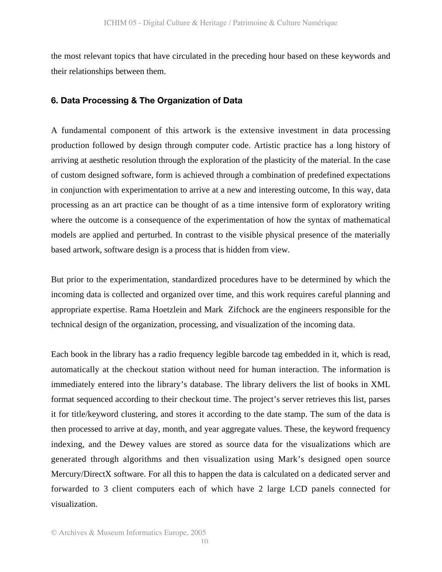the most relevant topics that have circulated in the preceding hour based on these keywords and their relationships between them.

#### **6. Data Processing & The Organization of Data**

A fundamental component of this artwork is the extensive investment in data processing production followed by design through computer code. Artistic practice has a long history of arriving at aesthetic resolution through the exploration of the plasticity of the material. In the case of custom designed software, form is achieved through a combination of predefined expectations in conjunction with experimentation to arrive at a new and interesting outcome, In this way, data processing as an art practice can be thought of as a time intensive form of exploratory writing where the outcome is a consequence of the experimentation of how the syntax of mathematical models are applied and perturbed. In contrast to the visible physical presence of the materially based artwork, software design is a process that is hidden from view.

But prior to the experimentation, standardized procedures have to be determined by which the incoming data is collected and organized over time, and this work requires careful planning and appropriate expertise. Rama Hoetzlein and Mark Zifchock are the engineers responsible for the technical design of the organization, processing, and visualization of the incoming data.

Each book in the library has a radio frequency legible barcode tag embedded in it, which is read, automatically at the checkout station without need for human interaction. The information is immediately entered into the library's database. The library delivers the list of books in XML format sequenced according to their checkout time. The project's server retrieves this list, parses it for title/keyword clustering, and stores it according to the date stamp. The sum of the data is then processed to arrive at day, month, and year aggregate values. These, the keyword frequency indexing, and the Dewey values are stored as source data for the visualizations which are generated through algorithms and then visualization using Mark's designed open source Mercury/DirectX software. For all this to happen the data is calculated on a dedicated server and forwarded to 3 client computers each of which have 2 large LCD panels connected for visualization.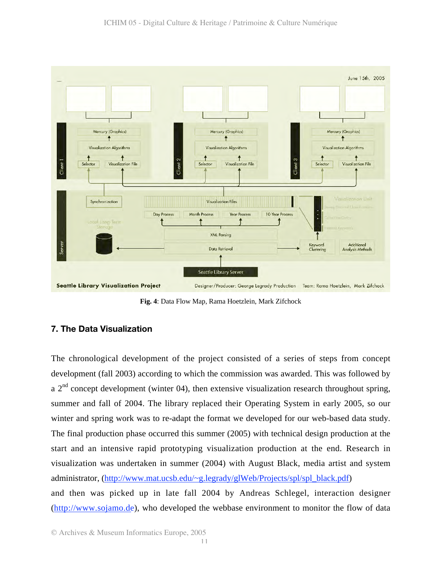

**Fig. 4**: Data Flow Map, Rama Hoetzlein, Mark Zifchock

## **7. The Data Visualization**

The chronological development of the project consisted of a series of steps from concept development (fall 2003) according to which the commission was awarded. This was followed by a  $2<sup>nd</sup>$  concept development (winter 04), then extensive visualization research throughout spring, summer and fall of 2004. The library replaced their Operating System in early 2005, so our winter and spring work was to re-adapt the format we developed for our web-based data study. The final production phase occurred this summer (2005) with technical design production at the start and an intensive rapid prototyping visualization production at the end. Research in visualization was undertaken in summer (2004) with August Black, media artist and system administrator, (http://www.mat.ucsb.edu/~g.legrady/glWeb/Projects/spl/spl\_black.pdf) and then was picked up in late fall 2004 by Andreas Schlegel, interaction designer (http://www.sojamo.de), who developed the webbase environment to monitor the flow of data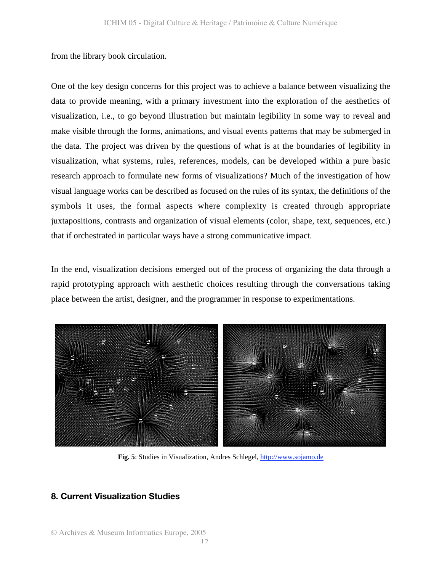from the library book circulation.

One of the key design concerns for this project was to achieve a balance between visualizing the data to provide meaning, with a primary investment into the exploration of the aesthetics of visualization, i.e., to go beyond illustration but maintain legibility in some way to reveal and make visible through the forms, animations, and visual events patterns that may be submerged in the data. The project was driven by the questions of what is at the boundaries of legibility in visualization, what systems, rules, references, models, can be developed within a pure basic research approach to formulate new forms of visualizations? Much of the investigation of how visual language works can be described as focused on the rules of its syntax, the definitions of the symbols it uses, the formal aspects where complexity is created through appropriate juxtapositions, contrasts and organization of visual elements (color, shape, text, sequences, etc.) that if orchestrated in particular ways have a strong communicative impact.

In the end, visualization decisions emerged out of the process of organizing the data through a rapid prototyping approach with aesthetic choices resulting through the conversations taking place between the artist, designer, and the programmer in response to experimentations.



**Fig. 5**: Studies in Visualization, Andres Schlegel, http://www.sojamo.de

#### **8. Current Visualization Studies**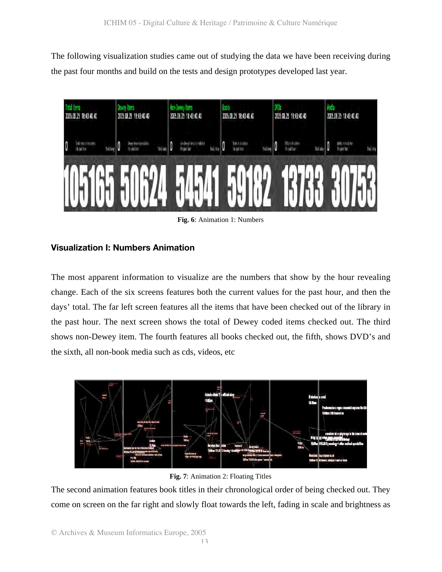The following visualization studies came out of studying the data we have been receiving during the past four months and build on the tests and design prototypes developed last year.



**Fig. 6**: Animation 1: Numbers

## **Visualization I: Numbers Animation**

The most apparent information to visualize are the numbers that show by the hour revealing change. Each of the six screens features both the current values for the past hour, and then the days' total. The far left screen features all the items that have been checked out of the library in the past hour. The next screen shows the total of Dewey coded items checked out. The third shows non-Dewey item. The fourth features all books checked out, the fifth, shows DVD's and the sixth, all non-book media such as cds, videos, etc



**Fig. 7**: Animation 2: Floating Titles

The second animation features book titles in their chronological order of being checked out. They come on screen on the far right and slowly float towards the left, fading in scale and brightness as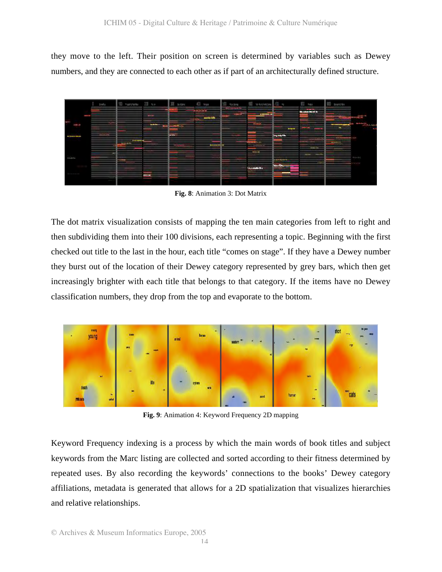they move to the left. Their position on screen is determined by variables such as Dewey numbers, and they are connected to each other as if part of an architecturally defined structure.



**Fig. 8**: Animation 3: Dot Matrix

The dot matrix visualization consists of mapping the ten main categories from left to right and then subdividing them into their 100 divisions, each representing a topic. Beginning with the first checked out title to the last in the hour, each title "comes on stage". If they have a Dewey number they burst out of the location of their Dewey category represented by grey bars, which then get increasingly brighter with each title that belongs to that category. If the items have no Dewey classification numbers, they drop from the top and evaporate to the bottom.



**Fig. 9**: Animation 4: Keyword Frequency 2D mapping

Keyword Frequency indexing is a process by which the main words of book titles and subject keywords from the Marc listing are collected and sorted according to their fitness determined by repeated uses. By also recording the keywords' connections to the books' Dewey category affiliations, metadata is generated that allows for a 2D spatialization that visualizes hierarchies and relative relationships.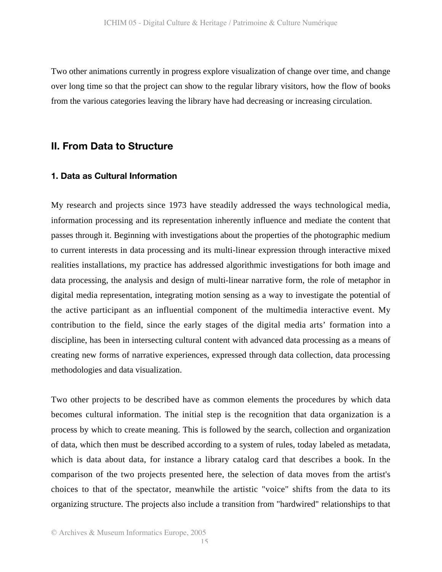Two other animations currently in progress explore visualization of change over time, and change over long time so that the project can show to the regular library visitors, how the flow of books from the various categories leaving the library have had decreasing or increasing circulation.

## **II. From Data to Structure**

#### **1. Data as Cultural Information**

My research and projects since 1973 have steadily addressed the ways technological media, information processing and its representation inherently influence and mediate the content that passes through it. Beginning with investigations about the properties of the photographic medium to current interests in data processing and its multi-linear expression through interactive mixed realities installations, my practice has addressed algorithmic investigations for both image and data processing, the analysis and design of multi-linear narrative form, the role of metaphor in digital media representation, integrating motion sensing as a way to investigate the potential of the active participant as an influential component of the multimedia interactive event. My contribution to the field, since the early stages of the digital media arts' formation into a discipline, has been in intersecting cultural content with advanced data processing as a means of creating new forms of narrative experiences, expressed through data collection, data processing methodologies and data visualization.

Two other projects to be described have as common elements the procedures by which data becomes cultural information. The initial step is the recognition that data organization is a process by which to create meaning. This is followed by the search, collection and organization of data, which then must be described according to a system of rules, today labeled as metadata, which is data about data, for instance a library catalog card that describes a book. In the comparison of the two projects presented here, the selection of data moves from the artist's choices to that of the spectator, meanwhile the artistic "voice" shifts from the data to its organizing structure. The projects also include a transition from "hardwired" relationships to that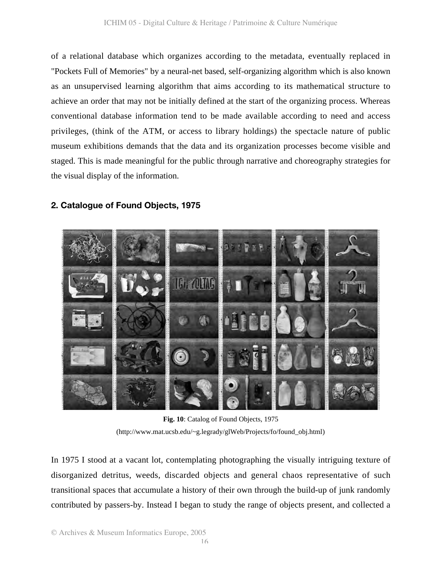of a relational database which organizes according to the metadata, eventually replaced in "Pockets Full of Memories" by a neural-net based, self-organizing algorithm which is also known as an unsupervised learning algorithm that aims according to its mathematical structure to achieve an order that may not be initially defined at the start of the organizing process. Whereas conventional database information tend to be made available according to need and access privileges, (think of the ATM, or access to library holdings) the spectacle nature of public museum exhibitions demands that the data and its organization processes become visible and staged. This is made meaningful for the public through narrative and choreography strategies for the visual display of the information.



## **2. Catalogue of Found Objects, 1975**

(http://www.mat.ucsb.edu/~g.legrady/glWeb/Projects/fo/found\_obj.html)

In 1975 I stood at a vacant lot, contemplating photographing the visually intriguing texture of disorganized detritus, weeds, discarded objects and general chaos representative of such transitional spaces that accumulate a history of their own through the build-up of junk randomly contributed by passers-by. Instead I began to study the range of objects present, and collected a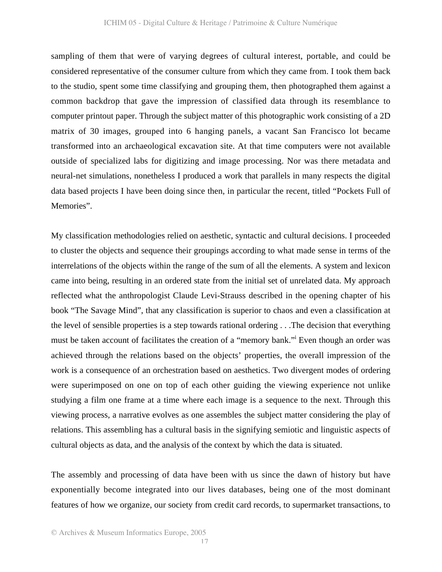sampling of them that were of varying degrees of cultural interest, portable, and could be considered representative of the consumer culture from which they came from. I took them back to the studio, spent some time classifying and grouping them, then photographed them against a common backdrop that gave the impression of classified data through its resemblance to computer printout paper. Through the subject matter of this photographic work consisting of a 2D matrix of 30 images, grouped into 6 hanging panels, a vacant San Francisco lot became transformed into an archaeological excavation site. At that time computers were not available outside of specialized labs for digitizing and image processing. Nor was there metadata and neural-net simulations, nonetheless I produced a work that parallels in many respects the digital data based projects I have been doing since then, in particular the recent, titled "Pockets Full of Memories".

My classification methodologies relied on aesthetic, syntactic and cultural decisions. I proceeded to cluster the objects and sequence their groupings according to what made sense in terms of the interrelations of the objects within the range of the sum of all the elements. A system and lexicon came into being, resulting in an ordered state from the initial set of unrelated data. My approach reflected what the anthropologist Claude Levi-Strauss described in the opening chapter of his book "The Savage Mind", that any classification is superior to chaos and even a classification at the level of sensible properties is a step towards rational ordering . . .The decision that everything must be taken account of facilitates the creation of a "memory bank." Even though an order was achieved through the relations based on the objects' properties, the overall impression of the work is a consequence of an orchestration based on aesthetics. Two divergent modes of ordering were superimposed on one on top of each other guiding the viewing experience not unlike studying a film one frame at a time where each image is a sequence to the next. Through this viewing process, a narrative evolves as one assembles the subject matter considering the play of relations. This assembling has a cultural basis in the signifying semiotic and linguistic aspects of cultural objects as data, and the analysis of the context by which the data is situated.

The assembly and processing of data have been with us since the dawn of history but have exponentially become integrated into our lives databases, being one of the most dominant features of how we organize, our society from credit card records, to supermarket transactions, to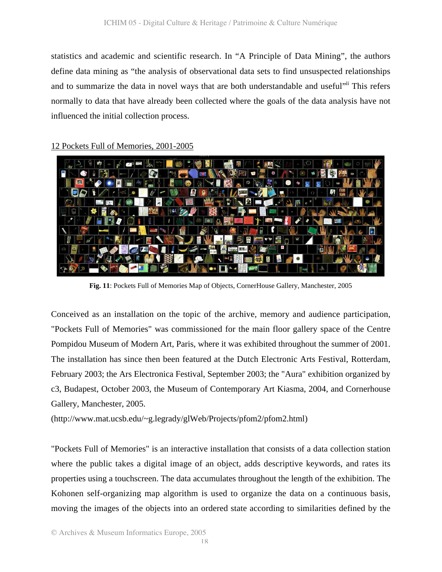statistics and academic and scientific research. In "A Principle of Data Mining", the authors define data mining as "the analysis of observational data sets to find unsuspected relationships and to summarize the data in novel ways that are both understandable and useful<sup>"ii</sup> This refers normally to data that have already been collected where the goals of the data analysis have not influenced the initial collection process.

#### 12 Pockets Full of Memories, 2001-2005



**Fig. 11**: Pockets Full of Memories Map of Objects, CornerHouse Gallery, Manchester, 2005

Conceived as an installation on the topic of the archive, memory and audience participation, "Pockets Full of Memories" was commissioned for the main floor gallery space of the Centre Pompidou Museum of Modern Art, Paris, where it was exhibited throughout the summer of 2001. The installation has since then been featured at the Dutch Electronic Arts Festival, Rotterdam, February 2003; the Ars Electronica Festival, September 2003; the "Aura" exhibition organized by c3, Budapest, October 2003, the Museum of Contemporary Art Kiasma, 2004, and Cornerhouse Gallery, Manchester, 2005.

(http://www.mat.ucsb.edu/~g.legrady/glWeb/Projects/pfom2/pfom2.html)

"Pockets Full of Memories" is an interactive installation that consists of a data collection station where the public takes a digital image of an object, adds descriptive keywords, and rates its properties using a touchscreen. The data accumulates throughout the length of the exhibition. The Kohonen self-organizing map algorithm is used to organize the data on a continuous basis, moving the images of the objects into an ordered state according to similarities defined by the

© Archives & Museum Informatics Europe, 2005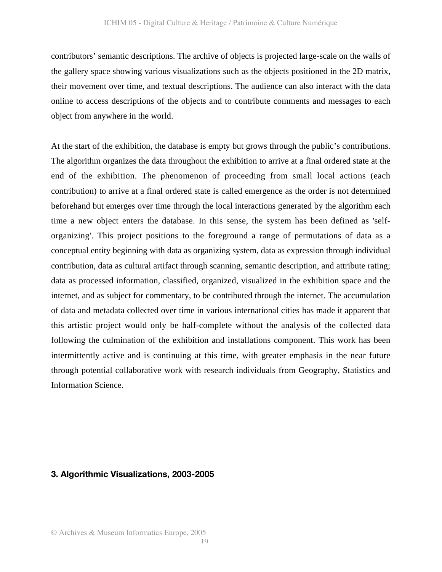contributors' semantic descriptions. The archive of objects is projected large-scale on the walls of the gallery space showing various visualizations such as the objects positioned in the 2D matrix, their movement over time, and textual descriptions. The audience can also interact with the data online to access descriptions of the objects and to contribute comments and messages to each object from anywhere in the world.

At the start of the exhibition, the database is empty but grows through the public's contributions. The algorithm organizes the data throughout the exhibition to arrive at a final ordered state at the end of the exhibition. The phenomenon of proceeding from small local actions (each contribution) to arrive at a final ordered state is called emergence as the order is not determined beforehand but emerges over time through the local interactions generated by the algorithm each time a new object enters the database. In this sense, the system has been defined as 'selforganizing'. This project positions to the foreground a range of permutations of data as a conceptual entity beginning with data as organizing system, data as expression through individual contribution, data as cultural artifact through scanning, semantic description, and attribute rating; data as processed information, classified, organized, visualized in the exhibition space and the internet, and as subject for commentary, to be contributed through the internet. The accumulation of data and metadata collected over time in various international cities has made it apparent that this artistic project would only be half-complete without the analysis of the collected data following the culmination of the exhibition and installations component. This work has been intermittently active and is continuing at this time, with greater emphasis in the near future through potential collaborative work with research individuals from Geography, Statistics and Information Science.

#### **3. Algorithmic Visualizations, 2003-2005**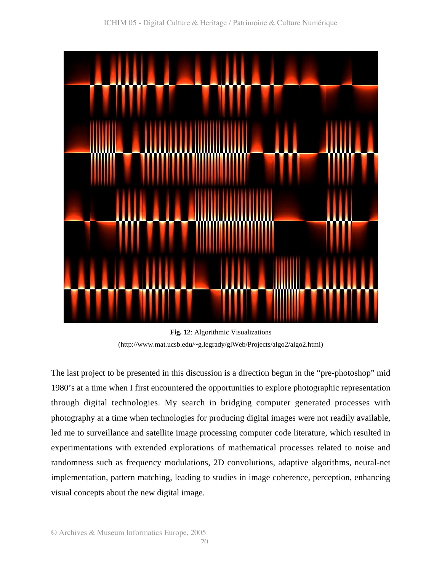

**Fig. 12**: Algorithmic Visualizations (http://www.mat.ucsb.edu/~g.legrady/glWeb/Projects/algo2/algo2.html)

The last project to be presented in this discussion is a direction begun in the "pre-photoshop" mid 1980's at a time when I first encountered the opportunities to explore photographic representation through digital technologies. My search in bridging computer generated processes with photography at a time when technologies for producing digital images were not readily available, led me to surveillance and satellite image processing computer code literature, which resulted in experimentations with extended explorations of mathematical processes related to noise and randomness such as frequency modulations, 2D convolutions, adaptive algorithms, neural-net implementation, pattern matching, leading to studies in image coherence, perception, enhancing visual concepts about the new digital image.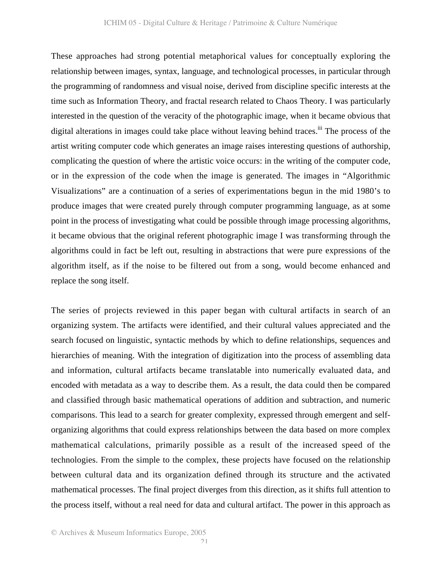These approaches had strong potential metaphorical values for conceptually exploring the relationship between images, syntax, language, and technological processes, in particular through the programming of randomness and visual noise, derived from discipline specific interests at the time such as Information Theory, and fractal research related to Chaos Theory. I was particularly interested in the question of the veracity of the photographic image, when it became obvious that digital alterations in images could take place without leaving behind traces.<sup>iii</sup> The process of the artist writing computer code which generates an image raises interesting questions of authorship, complicating the question of where the artistic voice occurs: in the writing of the computer code, or in the expression of the code when the image is generated. The images in "Algorithmic Visualizations" are a continuation of a series of experimentations begun in the mid 1980's to produce images that were created purely through computer programming language, as at some point in the process of investigating what could be possible through image processing algorithms, it became obvious that the original referent photographic image I was transforming through the algorithms could in fact be left out, resulting in abstractions that were pure expressions of the algorithm itself, as if the noise to be filtered out from a song, would become enhanced and replace the song itself.

The series of projects reviewed in this paper began with cultural artifacts in search of an organizing system. The artifacts were identified, and their cultural values appreciated and the search focused on linguistic, syntactic methods by which to define relationships, sequences and hierarchies of meaning. With the integration of digitization into the process of assembling data and information, cultural artifacts became translatable into numerically evaluated data, and encoded with metadata as a way to describe them. As a result, the data could then be compared and classified through basic mathematical operations of addition and subtraction, and numeric comparisons. This lead to a search for greater complexity, expressed through emergent and selforganizing algorithms that could express relationships between the data based on more complex mathematical calculations, primarily possible as a result of the increased speed of the technologies. From the simple to the complex, these projects have focused on the relationship between cultural data and its organization defined through its structure and the activated mathematical processes. The final project diverges from this direction, as it shifts full attention to the process itself, without a real need for data and cultural artifact. The power in this approach as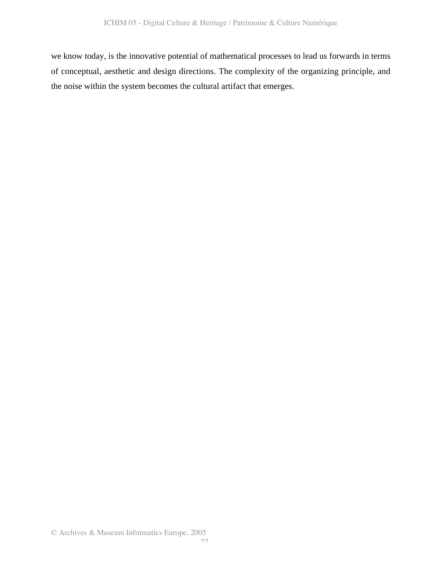we know today, is the innovative potential of mathematical processes to lead us forwards in terms of conceptual, aesthetic and design directions. The complexity of the organizing principle, and the noise within the system becomes the cultural artifact that emerges.